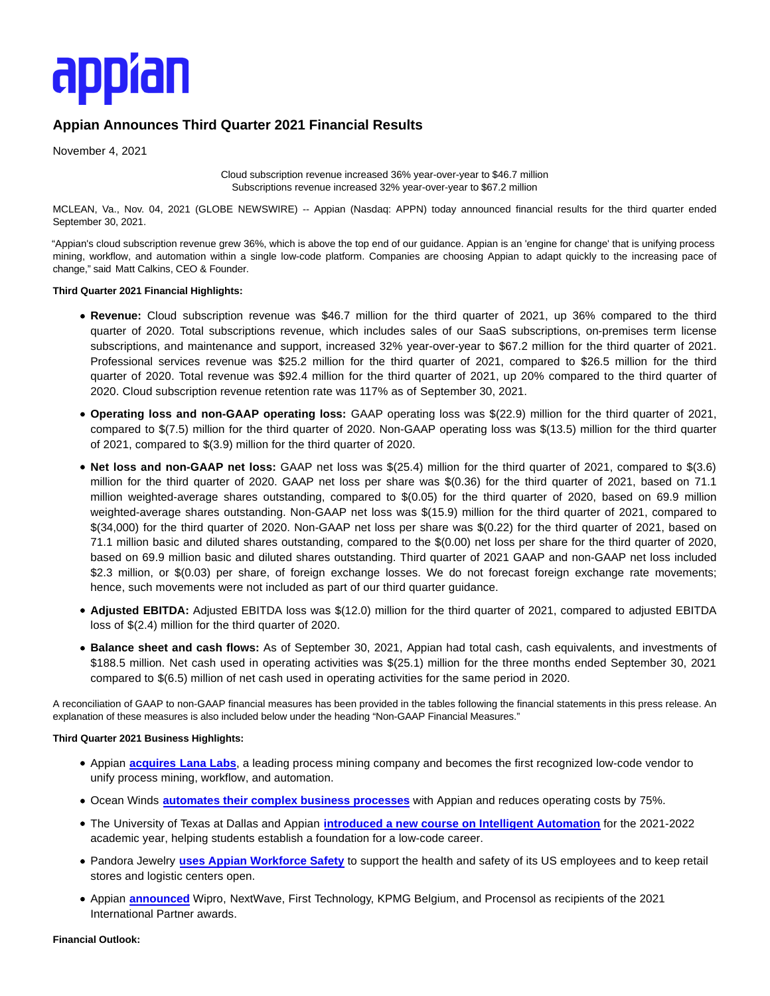

# **Appian Announces Third Quarter 2021 Financial Results**

November 4, 2021

Cloud subscription revenue increased 36% year-over-year to \$46.7 million Subscriptions revenue increased 32% year-over-year to \$67.2 million

MCLEAN, Va., Nov. 04, 2021 (GLOBE NEWSWIRE) -- Appian (Nasdaq: APPN) today announced financial results for the third quarter ended September 30, 2021.

"Appian's cloud subscription revenue grew 36%, which is above the top end of our guidance. Appian is an 'engine for change' that is unifying process mining, workflow, and automation within a single low-code platform. Companies are choosing Appian to adapt quickly to the increasing pace of change," said Matt Calkins, CEO & Founder.

#### **Third Quarter 2021 Financial Highlights:**

- **Revenue:** Cloud subscription revenue was \$46.7 million for the third quarter of 2021, up 36% compared to the third quarter of 2020. Total subscriptions revenue, which includes sales of our SaaS subscriptions, on-premises term license subscriptions, and maintenance and support, increased 32% year-over-year to \$67.2 million for the third quarter of 2021. Professional services revenue was \$25.2 million for the third quarter of 2021, compared to \$26.5 million for the third quarter of 2020. Total revenue was \$92.4 million for the third quarter of 2021, up 20% compared to the third quarter of 2020. Cloud subscription revenue retention rate was 117% as of September 30, 2021.
- **Operating loss and non-GAAP operating loss:** GAAP operating loss was \$(22.9) million for the third quarter of 2021, compared to \$(7.5) million for the third quarter of 2020. Non-GAAP operating loss was \$(13.5) million for the third quarter of 2021, compared to \$(3.9) million for the third quarter of 2020.
- **Net loss and non-GAAP net loss:** GAAP net loss was \$(25.4) million for the third quarter of 2021, compared to \$(3.6) million for the third quarter of 2020. GAAP net loss per share was \$(0.36) for the third quarter of 2021, based on 71.1 million weighted-average shares outstanding, compared to \$(0.05) for the third quarter of 2020, based on 69.9 million weighted-average shares outstanding. Non-GAAP net loss was \$(15.9) million for the third quarter of 2021, compared to \$(34,000) for the third quarter of 2020. Non-GAAP net loss per share was \$(0.22) for the third quarter of 2021, based on 71.1 million basic and diluted shares outstanding, compared to the \$(0.00) net loss per share for the third quarter of 2020, based on 69.9 million basic and diluted shares outstanding. Third quarter of 2021 GAAP and non-GAAP net loss included \$2.3 million, or \$(0.03) per share, of foreign exchange losses. We do not forecast foreign exchange rate movements; hence, such movements were not included as part of our third quarter guidance.
- **Adjusted EBITDA:** Adjusted EBITDA loss was \$(12.0) million for the third quarter of 2021, compared to adjusted EBITDA loss of \$(2.4) million for the third quarter of 2020.
- **Balance sheet and cash flows:** As of September 30, 2021, Appian had total cash, cash equivalents, and investments of \$188.5 million. Net cash used in operating activities was \$(25.1) million for the three months ended September 30, 2021 compared to \$(6.5) million of net cash used in operating activities for the same period in 2020.

A reconciliation of GAAP to non-GAAP financial measures has been provided in the tables following the financial statements in this press release. An explanation of these measures is also included below under the heading "Non-GAAP Financial Measures."

#### **Third Quarter 2021 Business Highlights:**

- Appian **[acquires Lana Labs](http://appian.com/resources/newsroom/press-releases/2021/appian-acquires-leading-process-mining-company.html)**, a leading process mining company and becomes the first recognized low-code vendor to unify process mining, workflow, and automation.
- Ocean Winds **[automates their complex business processes](http://appian.com/resources/newsroom/press-releases/2021/ocean-winds-reduces-operating-costs-by-75--with-the-appian-low-c.html)** with Appian and reduces operating costs by 75%.
- The University of Texas at Dallas and Appian **[introduced a new course on Intelligent Automation](http://appian.com/resources/newsroom/press-releases/2021/appian-partnership-with-the-university-of-texas-at-dallas-gives-.html)** for the 2021-2022 academic year, helping students establish a foundation for a low-code career.
- Pandora Jewelry **[uses Appian Workforce Safety](http://appian.com/resources/newsroom/press-releases/2021/pandora-safely-returns-to-the-workplace-with-the-appian-workforc.html)** to support the health and safety of its US employees and to keep retail stores and logistic centers open.
- Appian **[announced](http://appian.com/resources/newsroom/press-releases/2021/appian-congratulates-2021-international-partner-award-winners.html)** Wipro, NextWave, First Technology, KPMG Belgium, and Procensol as recipients of the 2021 International Partner awards.

**Financial Outlook:**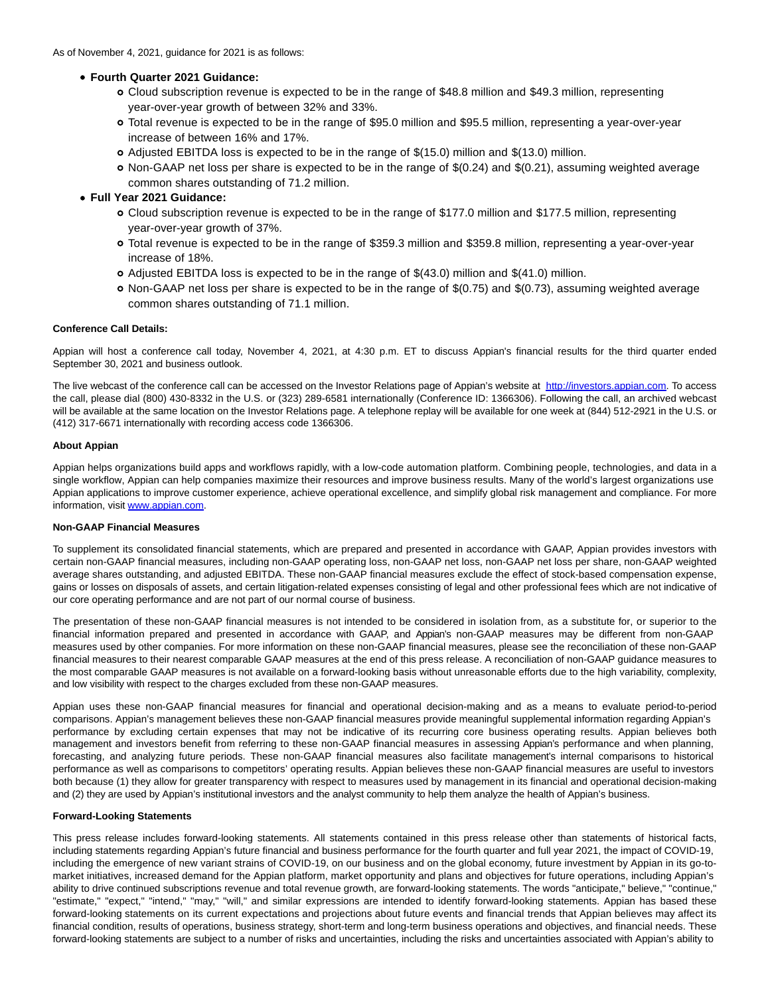### **Fourth Quarter 2021 Guidance:**

- Cloud subscription revenue is expected to be in the range of \$48.8 million and \$49.3 million, representing year-over-year growth of between 32% and 33%.
- Total revenue is expected to be in the range of \$95.0 million and \$95.5 million, representing a year-over-year increase of between 16% and 17%.
- Adjusted EBITDA loss is expected to be in the range of \$(15.0) million and \$(13.0) million.
- Non-GAAP net loss per share is expected to be in the range of \$(0.24) and \$(0.21), assuming weighted average common shares outstanding of 71.2 million.

### **Full Year 2021 Guidance:**

- Cloud subscription revenue is expected to be in the range of \$177.0 million and \$177.5 million, representing year-over-year growth of 37%.
- Total revenue is expected to be in the range of \$359.3 million and \$359.8 million, representing a year-over-year increase of 18%.
- Adjusted EBITDA loss is expected to be in the range of \$(43.0) million and \$(41.0) million.
- Non-GAAP net loss per share is expected to be in the range of \$(0.75) and \$(0.73), assuming weighted average common shares outstanding of 71.1 million.

#### **Conference Call Details:**

Appian will host a conference call today, November 4, 2021, at 4:30 p.m. ET to discuss Appian's financial results for the third quarter ended September 30, 2021 and business outlook.

The live webcast of the conference call can be accessed on the Investor Relations page of Appian's website at [http://investors.appian.com.](http://investors.appian.com/) To access the call, please dial (800) 430-8332 in the U.S. or (323) 289-6581 internationally (Conference ID: 1366306). Following the call, an archived webcast will be available at the same location on the Investor Relations page. A telephone replay will be available for one week at (844) 512-2921 in the U.S. or (412) 317-6671 internationally with recording access code 1366306.

#### **About Appian**

Appian helps organizations build apps and workflows rapidly, with a low-code automation platform. Combining people, technologies, and data in a single workflow, Appian can help companies maximize their resources and improve business results. Many of the world's largest organizations use Appian applications to improve customer experience, achieve operational excellence, and simplify global risk management and compliance. For more information, visit [www.appian.com.](http://www.appian.com/)

#### **Non-GAAP Financial Measures**

To supplement its consolidated financial statements, which are prepared and presented in accordance with GAAP, Appian provides investors with certain non-GAAP financial measures, including non-GAAP operating loss, non-GAAP net loss, non-GAAP net loss per share, non-GAAP weighted average shares outstanding, and adjusted EBITDA. These non-GAAP financial measures exclude the effect of stock-based compensation expense, gains or losses on disposals of assets, and certain litigation-related expenses consisting of legal and other professional fees which are not indicative of our core operating performance and are not part of our normal course of business.

The presentation of these non-GAAP financial measures is not intended to be considered in isolation from, as a substitute for, or superior to the financial information prepared and presented in accordance with GAAP, and Appian's non-GAAP measures may be different from non-GAAP measures used by other companies. For more information on these non-GAAP financial measures, please see the reconciliation of these non-GAAP financial measures to their nearest comparable GAAP measures at the end of this press release. A reconciliation of non-GAAP guidance measures to the most comparable GAAP measures is not available on a forward-looking basis without unreasonable efforts due to the high variability, complexity, and low visibility with respect to the charges excluded from these non-GAAP measures.

Appian uses these non-GAAP financial measures for financial and operational decision-making and as a means to evaluate period-to-period comparisons. Appian's management believes these non-GAAP financial measures provide meaningful supplemental information regarding Appian's performance by excluding certain expenses that may not be indicative of its recurring core business operating results. Appian believes both management and investors benefit from referring to these non-GAAP financial measures in assessing Appian's performance and when planning, forecasting, and analyzing future periods. These non-GAAP financial measures also facilitate management's internal comparisons to historical performance as well as comparisons to competitors' operating results. Appian believes these non-GAAP financial measures are useful to investors both because (1) they allow for greater transparency with respect to measures used by management in its financial and operational decision-making and (2) they are used by Appian's institutional investors and the analyst community to help them analyze the health of Appian's business.

#### **Forward-Looking Statements**

This press release includes forward-looking statements. All statements contained in this press release other than statements of historical facts, including statements regarding Appian's future financial and business performance for the fourth quarter and full year 2021, the impact of COVID-19, including the emergence of new variant strains of COVID-19, on our business and on the global economy, future investment by Appian in its go-tomarket initiatives, increased demand for the Appian platform, market opportunity and plans and objectives for future operations, including Appian's ability to drive continued subscriptions revenue and total revenue growth, are forward-looking statements. The words "anticipate," believe," "continue," "estimate," "expect," "intend," "may," "will," and similar expressions are intended to identify forward-looking statements. Appian has based these forward-looking statements on its current expectations and projections about future events and financial trends that Appian believes may affect its financial condition, results of operations, business strategy, short-term and long-term business operations and objectives, and financial needs. These forward-looking statements are subject to a number of risks and uncertainties, including the risks and uncertainties associated with Appian's ability to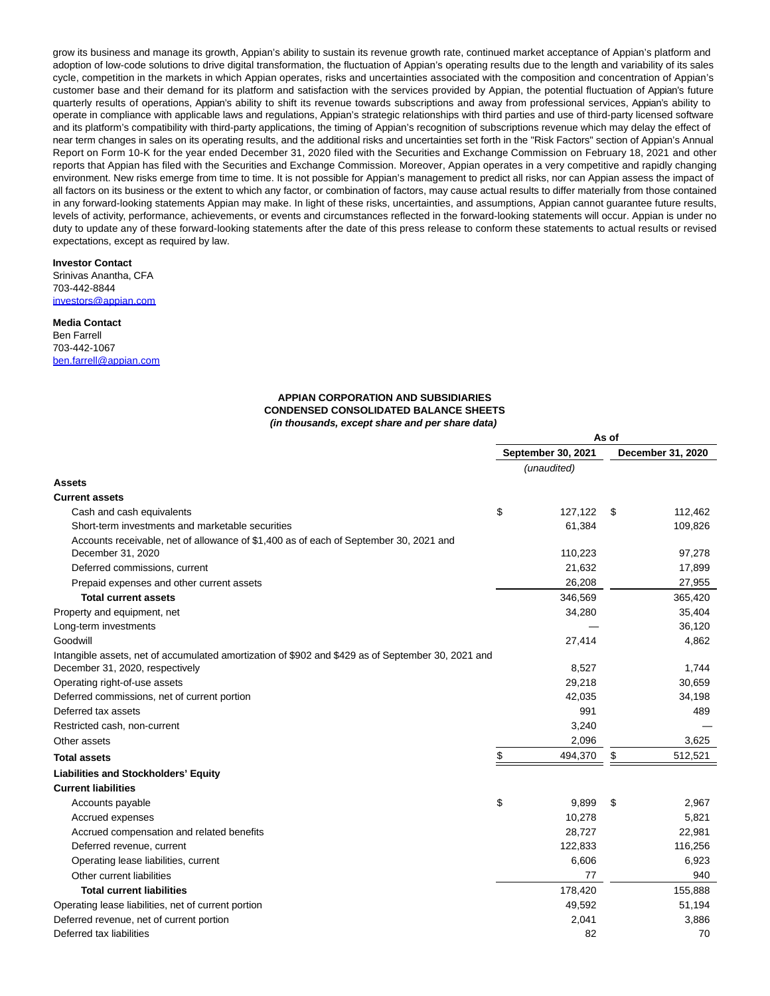grow its business and manage its growth, Appian's ability to sustain its revenue growth rate, continued market acceptance of Appian's platform and adoption of low-code solutions to drive digital transformation, the fluctuation of Appian's operating results due to the length and variability of its sales cycle, competition in the markets in which Appian operates, risks and uncertainties associated with the composition and concentration of Appian's customer base and their demand for its platform and satisfaction with the services provided by Appian, the potential fluctuation of Appian's future quarterly results of operations, Appian's ability to shift its revenue towards subscriptions and away from professional services, Appian's ability to operate in compliance with applicable laws and regulations, Appian's strategic relationships with third parties and use of third-party licensed software and its platform's compatibility with third-party applications, the timing of Appian's recognition of subscriptions revenue which may delay the effect of near term changes in sales on its operating results, and the additional risks and uncertainties set forth in the "Risk Factors" section of Appian's Annual Report on Form 10-K for the year ended December 31, 2020 filed with the Securities and Exchange Commission on February 18, 2021 and other reports that Appian has filed with the Securities and Exchange Commission. Moreover, Appian operates in a very competitive and rapidly changing environment. New risks emerge from time to time. It is not possible for Appian's management to predict all risks, nor can Appian assess the impact of all factors on its business or the extent to which any factor, or combination of factors, may cause actual results to differ materially from those contained in any forward-looking statements Appian may make. In light of these risks, uncertainties, and assumptions, Appian cannot guarantee future results, levels of activity, performance, achievements, or events and circumstances reflected in the forward-looking statements will occur. Appian is under no duty to update any of these forward-looking statements after the date of this press release to conform these statements to actual results or revised expectations, except as required by law.

### **Investor Contact**

Srinivas Anantha, CFA 703-442-8844 [investors@appian.com](mailto:investors@appian.com)

#### **Media Contact**

Ben Farrell 703-442-1067 [ben.farrell@appian.com](mailto:ben.farrell@appian.com)

#### **APPIAN CORPORATION AND SUBSIDIARIES CONDENSED CONSOLIDATED BALANCE SHEETS (in thousands, except share and per share data)**

| September 30, 2021<br>December 31, 2020<br>(unaudited)<br>\$<br>Cash and cash equivalents<br>127,122<br>112,462<br>- \$<br>109,826<br>Short-term investments and marketable securities<br>61,384<br>Accounts receivable, net of allowance of \$1,400 as of each of September 30, 2021 and<br>110,223<br>97,278<br>December 31, 2020<br>Deferred commissions, current<br>21,632<br>17,899<br>26,208<br>27,955<br>Prepaid expenses and other current assets<br>346,569<br>365,420<br><b>Total current assets</b><br>Property and equipment, net<br>34,280<br>35,404<br>36,120<br>27,414<br>4,862<br>8,527<br>1,744<br>29,218<br>30,659<br>42,035<br>34,198<br>991<br>489<br>3,240<br>2,096<br>3,625<br>\$<br>494,370<br>\$<br>512,521<br>\$<br>9.899<br>2,967<br>Accounts payable<br>S<br>5,821<br>10,278<br>Accrued expenses<br>Accrued compensation and related benefits<br>28,727<br>22,981<br>Deferred revenue, current<br>122,833<br>116,256<br>6,606<br>Operating lease liabilities, current<br>6,923<br>77<br>940<br>Other current liabilities<br>178,420<br>155,888<br><b>Total current liabilities</b><br>49,592<br>51,194<br>2,041<br>3,886<br>82<br>70 |                                                                                                    | As of |  |  |  |  |  |
|-----------------------------------------------------------------------------------------------------------------------------------------------------------------------------------------------------------------------------------------------------------------------------------------------------------------------------------------------------------------------------------------------------------------------------------------------------------------------------------------------------------------------------------------------------------------------------------------------------------------------------------------------------------------------------------------------------------------------------------------------------------------------------------------------------------------------------------------------------------------------------------------------------------------------------------------------------------------------------------------------------------------------------------------------------------------------------------------------------------------------------------------------------------------|----------------------------------------------------------------------------------------------------|-------|--|--|--|--|--|
|                                                                                                                                                                                                                                                                                                                                                                                                                                                                                                                                                                                                                                                                                                                                                                                                                                                                                                                                                                                                                                                                                                                                                                 |                                                                                                    |       |  |  |  |  |  |
|                                                                                                                                                                                                                                                                                                                                                                                                                                                                                                                                                                                                                                                                                                                                                                                                                                                                                                                                                                                                                                                                                                                                                                 |                                                                                                    |       |  |  |  |  |  |
|                                                                                                                                                                                                                                                                                                                                                                                                                                                                                                                                                                                                                                                                                                                                                                                                                                                                                                                                                                                                                                                                                                                                                                 | <b>Assets</b>                                                                                      |       |  |  |  |  |  |
|                                                                                                                                                                                                                                                                                                                                                                                                                                                                                                                                                                                                                                                                                                                                                                                                                                                                                                                                                                                                                                                                                                                                                                 | <b>Current assets</b>                                                                              |       |  |  |  |  |  |
|                                                                                                                                                                                                                                                                                                                                                                                                                                                                                                                                                                                                                                                                                                                                                                                                                                                                                                                                                                                                                                                                                                                                                                 |                                                                                                    |       |  |  |  |  |  |
|                                                                                                                                                                                                                                                                                                                                                                                                                                                                                                                                                                                                                                                                                                                                                                                                                                                                                                                                                                                                                                                                                                                                                                 |                                                                                                    |       |  |  |  |  |  |
|                                                                                                                                                                                                                                                                                                                                                                                                                                                                                                                                                                                                                                                                                                                                                                                                                                                                                                                                                                                                                                                                                                                                                                 |                                                                                                    |       |  |  |  |  |  |
|                                                                                                                                                                                                                                                                                                                                                                                                                                                                                                                                                                                                                                                                                                                                                                                                                                                                                                                                                                                                                                                                                                                                                                 |                                                                                                    |       |  |  |  |  |  |
|                                                                                                                                                                                                                                                                                                                                                                                                                                                                                                                                                                                                                                                                                                                                                                                                                                                                                                                                                                                                                                                                                                                                                                 |                                                                                                    |       |  |  |  |  |  |
|                                                                                                                                                                                                                                                                                                                                                                                                                                                                                                                                                                                                                                                                                                                                                                                                                                                                                                                                                                                                                                                                                                                                                                 |                                                                                                    |       |  |  |  |  |  |
|                                                                                                                                                                                                                                                                                                                                                                                                                                                                                                                                                                                                                                                                                                                                                                                                                                                                                                                                                                                                                                                                                                                                                                 |                                                                                                    |       |  |  |  |  |  |
|                                                                                                                                                                                                                                                                                                                                                                                                                                                                                                                                                                                                                                                                                                                                                                                                                                                                                                                                                                                                                                                                                                                                                                 | Long-term investments                                                                              |       |  |  |  |  |  |
|                                                                                                                                                                                                                                                                                                                                                                                                                                                                                                                                                                                                                                                                                                                                                                                                                                                                                                                                                                                                                                                                                                                                                                 | Goodwill                                                                                           |       |  |  |  |  |  |
|                                                                                                                                                                                                                                                                                                                                                                                                                                                                                                                                                                                                                                                                                                                                                                                                                                                                                                                                                                                                                                                                                                                                                                 | Intangible assets, net of accumulated amortization of \$902 and \$429 as of September 30, 2021 and |       |  |  |  |  |  |
|                                                                                                                                                                                                                                                                                                                                                                                                                                                                                                                                                                                                                                                                                                                                                                                                                                                                                                                                                                                                                                                                                                                                                                 | December 31, 2020, respectively                                                                    |       |  |  |  |  |  |
|                                                                                                                                                                                                                                                                                                                                                                                                                                                                                                                                                                                                                                                                                                                                                                                                                                                                                                                                                                                                                                                                                                                                                                 | Operating right-of-use assets                                                                      |       |  |  |  |  |  |
|                                                                                                                                                                                                                                                                                                                                                                                                                                                                                                                                                                                                                                                                                                                                                                                                                                                                                                                                                                                                                                                                                                                                                                 | Deferred commissions, net of current portion                                                       |       |  |  |  |  |  |
|                                                                                                                                                                                                                                                                                                                                                                                                                                                                                                                                                                                                                                                                                                                                                                                                                                                                                                                                                                                                                                                                                                                                                                 | Deferred tax assets                                                                                |       |  |  |  |  |  |
|                                                                                                                                                                                                                                                                                                                                                                                                                                                                                                                                                                                                                                                                                                                                                                                                                                                                                                                                                                                                                                                                                                                                                                 | Restricted cash, non-current                                                                       |       |  |  |  |  |  |
|                                                                                                                                                                                                                                                                                                                                                                                                                                                                                                                                                                                                                                                                                                                                                                                                                                                                                                                                                                                                                                                                                                                                                                 | Other assets                                                                                       |       |  |  |  |  |  |
|                                                                                                                                                                                                                                                                                                                                                                                                                                                                                                                                                                                                                                                                                                                                                                                                                                                                                                                                                                                                                                                                                                                                                                 | <b>Total assets</b>                                                                                |       |  |  |  |  |  |
|                                                                                                                                                                                                                                                                                                                                                                                                                                                                                                                                                                                                                                                                                                                                                                                                                                                                                                                                                                                                                                                                                                                                                                 | <b>Liabilities and Stockholders' Equity</b>                                                        |       |  |  |  |  |  |
|                                                                                                                                                                                                                                                                                                                                                                                                                                                                                                                                                                                                                                                                                                                                                                                                                                                                                                                                                                                                                                                                                                                                                                 | <b>Current liabilities</b>                                                                         |       |  |  |  |  |  |
|                                                                                                                                                                                                                                                                                                                                                                                                                                                                                                                                                                                                                                                                                                                                                                                                                                                                                                                                                                                                                                                                                                                                                                 |                                                                                                    |       |  |  |  |  |  |
|                                                                                                                                                                                                                                                                                                                                                                                                                                                                                                                                                                                                                                                                                                                                                                                                                                                                                                                                                                                                                                                                                                                                                                 |                                                                                                    |       |  |  |  |  |  |
|                                                                                                                                                                                                                                                                                                                                                                                                                                                                                                                                                                                                                                                                                                                                                                                                                                                                                                                                                                                                                                                                                                                                                                 |                                                                                                    |       |  |  |  |  |  |
|                                                                                                                                                                                                                                                                                                                                                                                                                                                                                                                                                                                                                                                                                                                                                                                                                                                                                                                                                                                                                                                                                                                                                                 |                                                                                                    |       |  |  |  |  |  |
|                                                                                                                                                                                                                                                                                                                                                                                                                                                                                                                                                                                                                                                                                                                                                                                                                                                                                                                                                                                                                                                                                                                                                                 |                                                                                                    |       |  |  |  |  |  |
|                                                                                                                                                                                                                                                                                                                                                                                                                                                                                                                                                                                                                                                                                                                                                                                                                                                                                                                                                                                                                                                                                                                                                                 |                                                                                                    |       |  |  |  |  |  |
|                                                                                                                                                                                                                                                                                                                                                                                                                                                                                                                                                                                                                                                                                                                                                                                                                                                                                                                                                                                                                                                                                                                                                                 |                                                                                                    |       |  |  |  |  |  |
|                                                                                                                                                                                                                                                                                                                                                                                                                                                                                                                                                                                                                                                                                                                                                                                                                                                                                                                                                                                                                                                                                                                                                                 | Operating lease liabilities, net of current portion                                                |       |  |  |  |  |  |
|                                                                                                                                                                                                                                                                                                                                                                                                                                                                                                                                                                                                                                                                                                                                                                                                                                                                                                                                                                                                                                                                                                                                                                 | Deferred revenue, net of current portion                                                           |       |  |  |  |  |  |
|                                                                                                                                                                                                                                                                                                                                                                                                                                                                                                                                                                                                                                                                                                                                                                                                                                                                                                                                                                                                                                                                                                                                                                 | Deferred tax liabilities                                                                           |       |  |  |  |  |  |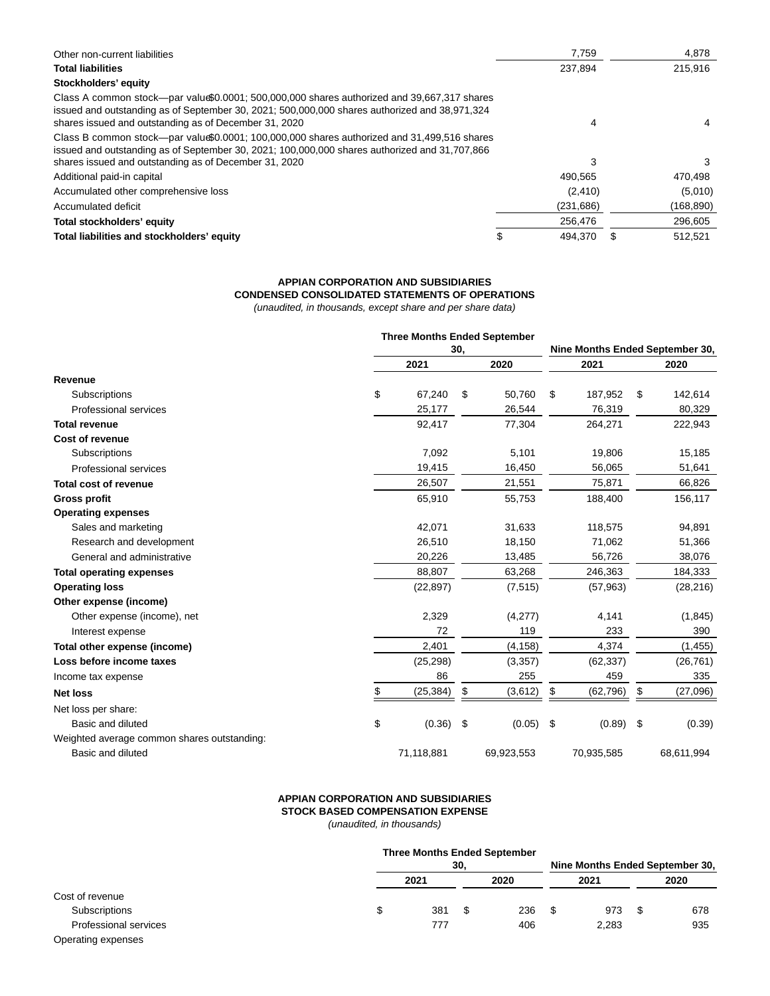| Other non-current liabilities                                                                                                                                                                                                                         | 7,759      | 4,878     |
|-------------------------------------------------------------------------------------------------------------------------------------------------------------------------------------------------------------------------------------------------------|------------|-----------|
| <b>Total liabilities</b>                                                                                                                                                                                                                              | 237,894    | 215,916   |
| Stockholders' equity                                                                                                                                                                                                                                  |            |           |
| Class A common stock—par value\$0.0001; 500,000,000 shares authorized and 39,667,317 shares<br>issued and outstanding as of September 30, 2021; 500,000,000 shares authorized and 38,971,324<br>shares issued and outstanding as of December 31, 2020 | 4          | 4         |
| Class B common stock—par value\$0.0001; 100,000,000 shares authorized and 31,499,516 shares<br>issued and outstanding as of September 30, 2021; 100,000,000 shares authorized and 31,707,866                                                          |            |           |
| shares issued and outstanding as of December 31, 2020                                                                                                                                                                                                 | 3          | 3         |
| Additional paid-in capital                                                                                                                                                                                                                            | 490.565    | 470.498   |
| Accumulated other comprehensive loss                                                                                                                                                                                                                  | (2, 410)   | (5,010)   |
| Accumulated deficit                                                                                                                                                                                                                                   | (231, 686) | (168,890) |
| Total stockholders' equity                                                                                                                                                                                                                            | 256,476    | 296,605   |
| Total liabilities and stockholders' equity                                                                                                                                                                                                            | 494.370    | 512.521   |

### **APPIAN CORPORATION AND SUBSIDIARIES**

**CONDENSED CONSOLIDATED STATEMENTS OF OPERATIONS**

(unaudited, in thousands, except share and per share data)

|                                             |    |            | <b>Three Months Ended September</b><br>30, |            |    |            |    | Nine Months Ended September 30, |  |
|---------------------------------------------|----|------------|--------------------------------------------|------------|----|------------|----|---------------------------------|--|
|                                             |    | 2021       |                                            | 2020       |    | 2021       |    | 2020                            |  |
| Revenue                                     |    |            |                                            |            |    |            |    |                                 |  |
| Subscriptions                               | \$ | 67.240     | \$                                         | 50,760     | \$ | 187,952    | \$ | 142,614                         |  |
| <b>Professional services</b>                |    | 25,177     |                                            | 26,544     |    | 76,319     |    | 80,329                          |  |
| <b>Total revenue</b>                        |    | 92,417     |                                            | 77,304     |    | 264,271    |    | 222,943                         |  |
| <b>Cost of revenue</b>                      |    |            |                                            |            |    |            |    |                                 |  |
| Subscriptions                               |    | 7,092      |                                            | 5,101      |    | 19,806     |    | 15,185                          |  |
| Professional services                       |    | 19,415     |                                            | 16,450     |    | 56,065     |    | 51,641                          |  |
| <b>Total cost of revenue</b>                |    | 26,507     |                                            | 21,551     |    | 75,871     |    | 66,826                          |  |
| <b>Gross profit</b>                         |    | 65,910     |                                            | 55,753     |    | 188,400    |    | 156,117                         |  |
| <b>Operating expenses</b>                   |    |            |                                            |            |    |            |    |                                 |  |
| Sales and marketing                         |    | 42,071     |                                            | 31,633     |    | 118,575    |    | 94,891                          |  |
| Research and development                    |    | 26,510     |                                            | 18,150     |    | 71,062     |    | 51,366                          |  |
| General and administrative                  |    | 20,226     |                                            | 13,485     |    | 56,726     |    | 38,076                          |  |
| <b>Total operating expenses</b>             |    | 88,807     |                                            | 63,268     |    | 246,363    |    | 184,333                         |  |
| <b>Operating loss</b>                       |    | (22, 897)  |                                            | (7, 515)   |    | (57, 963)  |    | (28, 216)                       |  |
| Other expense (income)                      |    |            |                                            |            |    |            |    |                                 |  |
| Other expense (income), net                 |    | 2,329      |                                            | (4,277)    |    | 4,141      |    | (1, 845)                        |  |
| Interest expense                            |    | 72         |                                            | 119        |    | 233        |    | 390                             |  |
| Total other expense (income)                |    | 2,401      |                                            | (4, 158)   |    | 4,374      |    | (1, 455)                        |  |
| Loss before income taxes                    |    | (25, 298)  |                                            | (3,357)    |    | (62, 337)  |    | (26, 761)                       |  |
| Income tax expense                          |    | 86         |                                            | 255        |    | 459        |    | 335                             |  |
| <b>Net loss</b>                             | S  | (25, 384)  | \$                                         | (3,612)    | \$ | (62, 796)  | \$ | (27,096)                        |  |
| Net loss per share:                         |    |            |                                            |            |    |            |    |                                 |  |
| Basic and diluted                           | \$ | (0.36)     | \$                                         | (0.05)     | \$ | (0.89)     | \$ | (0.39)                          |  |
| Weighted average common shares outstanding: |    |            |                                            |            |    |            |    |                                 |  |
| Basic and diluted                           |    | 71,118,881 |                                            | 69,923,553 |    | 70,935,585 |    | 68,611,994                      |  |

## **APPIAN CORPORATION AND SUBSIDIARIES**

**STOCK BASED COMPENSATION EXPENSE**

(unaudited, in thousands)

|                       |      |  | <b>Three Months Ended September</b> |   |                                 |  |      |  |  |
|-----------------------|------|--|-------------------------------------|---|---------------------------------|--|------|--|--|
|                       | 30.  |  |                                     |   | Nine Months Ended September 30, |  |      |  |  |
|                       | 2021 |  | 2020                                |   | 2021                            |  | 2020 |  |  |
| Cost of revenue       |      |  |                                     |   |                                 |  |      |  |  |
| Subscriptions         | 381  |  | 236                                 | S | 973                             |  | 678  |  |  |
| Professional services | 777  |  | 406                                 |   | 2.283                           |  | 935  |  |  |
| Operating expenses    |      |  |                                     |   |                                 |  |      |  |  |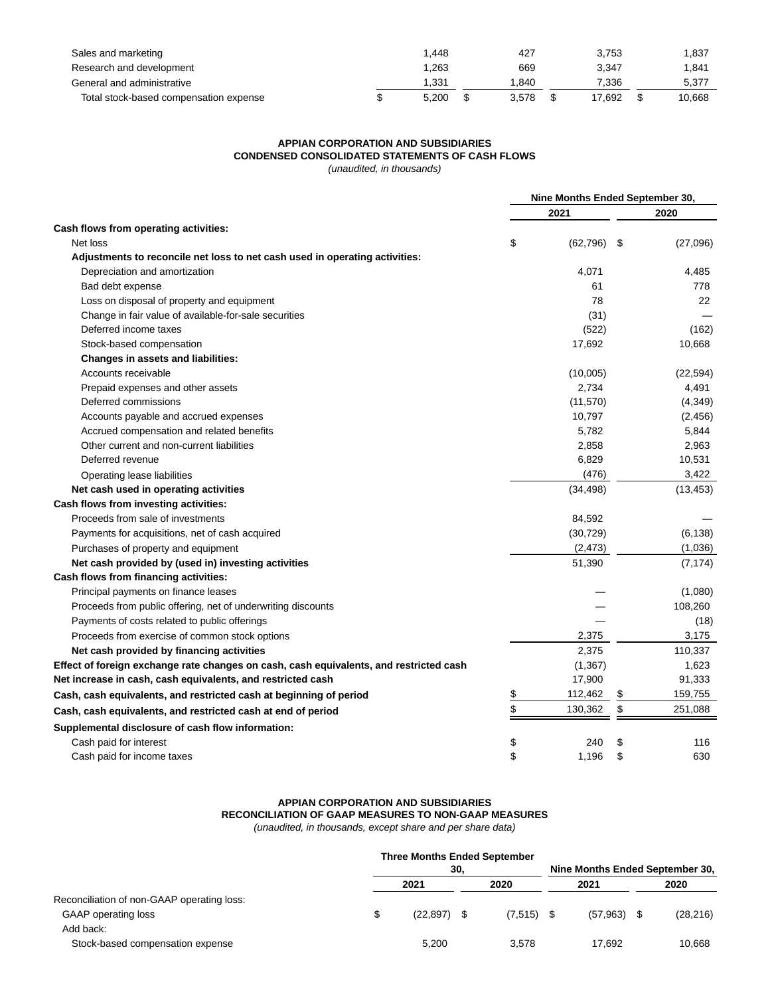| Sales and marketing                    | 448. ا | 427   | 3.753  | 1.837  |
|----------------------------------------|--------|-------|--------|--------|
| Research and development               | 1.263  | 669   | 3.347  | 1.841  |
| General and administrative             | 1.331  | .840  | 7.336  | 5.377  |
| Total stock-based compensation expense | 5.200  | 3.578 | 17.692 | 10.668 |

#### **APPIAN CORPORATION AND SUBSIDIARIES CONDENSED CONSOLIDATED STATEMENTS OF CASH FLOWS** (unaudited, in thousands)

|                                                                                        | Nine Months Ended September 30, |                |    |           |  |
|----------------------------------------------------------------------------------------|---------------------------------|----------------|----|-----------|--|
|                                                                                        |                                 | 2021           |    | 2020      |  |
| Cash flows from operating activities:                                                  |                                 |                |    |           |  |
| Net loss                                                                               | \$                              | $(62, 796)$ \$ |    | (27,096)  |  |
| Adjustments to reconcile net loss to net cash used in operating activities:            |                                 |                |    |           |  |
| Depreciation and amortization                                                          |                                 | 4,071          |    | 4.485     |  |
| Bad debt expense                                                                       |                                 | 61             |    | 778       |  |
| Loss on disposal of property and equipment                                             |                                 | 78             |    | 22        |  |
| Change in fair value of available-for-sale securities                                  |                                 | (31)           |    |           |  |
| Deferred income taxes                                                                  |                                 | (522)          |    | (162)     |  |
| Stock-based compensation                                                               |                                 | 17,692         |    | 10,668    |  |
| Changes in assets and liabilities:                                                     |                                 |                |    |           |  |
| Accounts receivable                                                                    |                                 | (10,005)       |    | (22, 594) |  |
| Prepaid expenses and other assets                                                      |                                 | 2,734          |    | 4,491     |  |
| Deferred commissions                                                                   |                                 | (11, 570)      |    | (4, 349)  |  |
| Accounts payable and accrued expenses                                                  |                                 | 10,797         |    | (2, 456)  |  |
| Accrued compensation and related benefits                                              |                                 | 5,782          |    | 5,844     |  |
| Other current and non-current liabilities                                              |                                 | 2,858          |    | 2,963     |  |
| Deferred revenue                                                                       |                                 | 6,829          |    | 10,531    |  |
| Operating lease liabilities                                                            |                                 | (476)          |    | 3,422     |  |
| Net cash used in operating activities                                                  |                                 | (34, 498)      |    | (13, 453) |  |
| Cash flows from investing activities:                                                  |                                 |                |    |           |  |
| Proceeds from sale of investments                                                      |                                 | 84,592         |    |           |  |
| Payments for acquisitions, net of cash acquired                                        |                                 | (30, 729)      |    | (6, 138)  |  |
| Purchases of property and equipment                                                    |                                 | (2, 473)       |    | (1,036)   |  |
| Net cash provided by (used in) investing activities                                    |                                 | 51,390         |    | (7, 174)  |  |
| Cash flows from financing activities:                                                  |                                 |                |    |           |  |
| Principal payments on finance leases                                                   |                                 |                |    | (1,080)   |  |
| Proceeds from public offering, net of underwriting discounts                           |                                 |                |    | 108,260   |  |
| Payments of costs related to public offerings                                          |                                 |                |    | (18)      |  |
| Proceeds from exercise of common stock options                                         |                                 | 2,375          |    | 3,175     |  |
| Net cash provided by financing activities                                              |                                 | 2,375          |    | 110,337   |  |
| Effect of foreign exchange rate changes on cash, cash equivalents, and restricted cash |                                 | (1, 367)       |    | 1,623     |  |
| Net increase in cash, cash equivalents, and restricted cash                            |                                 | 17,900         |    | 91,333    |  |
| Cash, cash equivalents, and restricted cash at beginning of period                     | \$                              | 112,462        | \$ | 159,755   |  |
| Cash, cash equivalents, and restricted cash at end of period                           | \$                              | 130,362        | \$ | 251,088   |  |
| Supplemental disclosure of cash flow information:                                      |                                 |                |    |           |  |
| Cash paid for interest                                                                 | \$                              | 240            | \$ | 116       |  |
| Cash paid for income taxes                                                             | \$                              | 1,196          | \$ | 630       |  |

# **APPIAN CORPORATION AND SUBSIDIARIES**

**RECONCILIATION OF GAAP MEASURES TO NON-GAAP MEASURES**

(unaudited, in thousands, except share and per share data)

|                                            |     | <b>Three Months Ended September</b> |  |              |                                 |               |  |           |  |  |
|--------------------------------------------|-----|-------------------------------------|--|--------------|---------------------------------|---------------|--|-----------|--|--|
|                                            | 30. |                                     |  |              | Nine Months Ended September 30, |               |  |           |  |  |
|                                            |     | 2021                                |  | 2020         |                                 | 2021          |  | 2020      |  |  |
| Reconciliation of non-GAAP operating loss: |     |                                     |  |              |                                 |               |  |           |  |  |
| GAAP operating loss                        | S   | (22.897)                            |  | $(7,515)$ \$ |                                 | $(57,963)$ \$ |  | (28, 216) |  |  |
| Add back:                                  |     |                                     |  |              |                                 |               |  |           |  |  |
| Stock-based compensation expense           |     | 5.200                               |  | 3.578        |                                 | 17.692        |  | 10.668    |  |  |